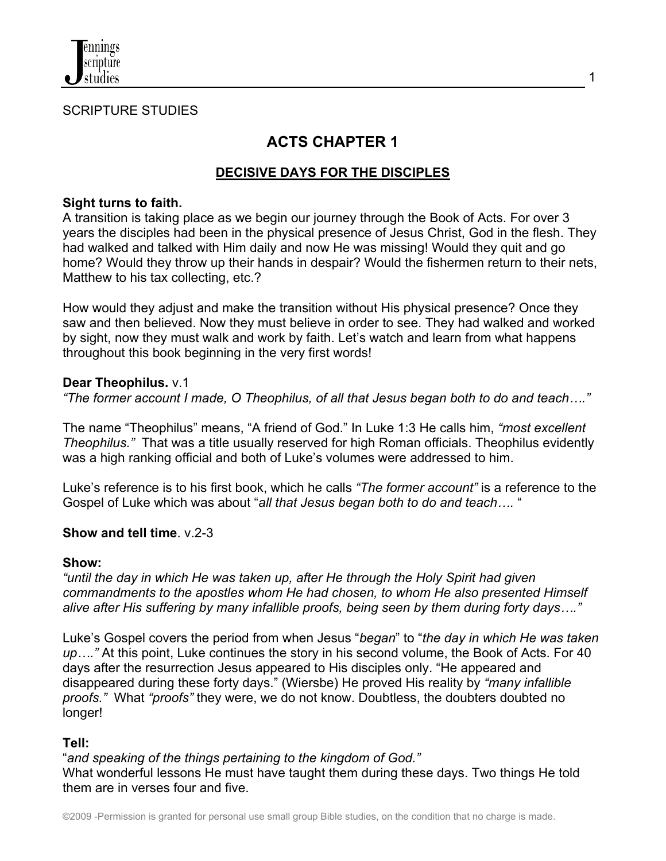

#### SCRIPTURE STUDIES

# **ACTS CHAPTER 1**

# **DECISIVE DAYS FOR THE DISCIPLES**

#### **Sight turns to faith.**

A transition is taking place as we begin our journey through the Book of Acts. For over 3 years the disciples had been in the physical presence of Jesus Christ, God in the flesh. They had walked and talked with Him daily and now He was missing! Would they quit and go home? Would they throw up their hands in despair? Would the fishermen return to their nets, Matthew to his tax collecting, etc.?

How would they adjust and make the transition without His physical presence? Once they saw and then believed. Now they must believe in order to see. They had walked and worked by sight, now they must walk and work by faith. Let's watch and learn from what happens throughout this book beginning in the very first words!

#### **Dear Theophilus.** v.1

*"The former account I made, O Theophilus, of all that Jesus began both to do and teach…."*

The name "Theophilus" means, "A friend of God." In Luke 1:3 He calls him, *"most excellent Theophilus."* That was a title usually reserved for high Roman officials. Theophilus evidently was a high ranking official and both of Luke's volumes were addressed to him.

Luke's reference is to his first book, which he calls *"The former account"* is a reference to the Gospel of Luke which was about "*all that Jesus began both to do and teach….* "

### **Show and tell time**. v.2-3

#### **Show:**

*"until the day in which He was taken up, after He through the Holy Spirit had given commandments to the apostles whom He had chosen, to whom He also presented Himself alive after His suffering by many infallible proofs, being seen by them during forty days…."*

Luke's Gospel covers the period from when Jesus "*began*" to "*the day in which He was taken up…."* At this point, Luke continues the story in his second volume, the Book of Acts. For 40 days after the resurrection Jesus appeared to His disciples only. "He appeared and disappeared during these forty days." (Wiersbe) He proved His reality by *"many infallible proofs."* What *"proofs"* they were, we do not know. Doubtless, the doubters doubted no longer!

### **Tell:**

"*and speaking of the things pertaining to the kingdom of God."*

What wonderful lessons He must have taught them during these days. Two things He told them are in verses four and five.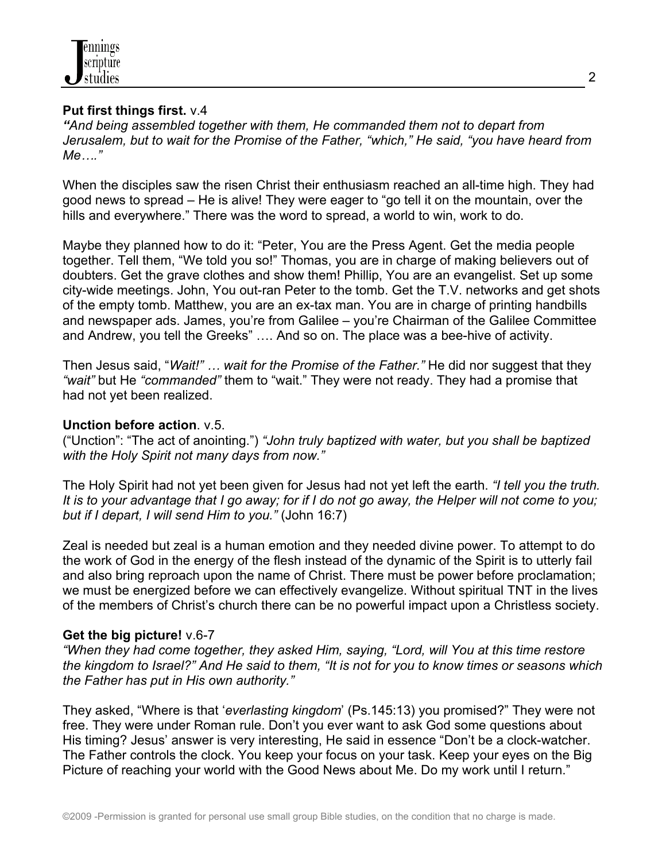

#### **Put first things first.** v.4

*"And being assembled together with them, He commanded them not to depart from Jerusalem, but to wait for the Promise of the Father, "which," He said, "you have heard from Me…."*

When the disciples saw the risen Christ their enthusiasm reached an all-time high. They had good news to spread – He is alive! They were eager to "go tell it on the mountain, over the hills and everywhere." There was the word to spread, a world to win, work to do.

Maybe they planned how to do it: "Peter, You are the Press Agent. Get the media people together. Tell them, "We told you so!" Thomas, you are in charge of making believers out of doubters. Get the grave clothes and show them! Phillip, You are an evangelist. Set up some city-wide meetings. John, You out-ran Peter to the tomb. Get the T.V. networks and get shots of the empty tomb. Matthew, you are an ex-tax man. You are in charge of printing handbills and newspaper ads. James, you're from Galilee – you're Chairman of the Galilee Committee and Andrew, you tell the Greeks" …. And so on. The place was a bee-hive of activity.

Then Jesus said, "*Wait!" … wait for the Promise of the Father."* He did nor suggest that they *"wait"* but He *"commanded"* them to "wait." They were not ready. They had a promise that had not yet been realized.

#### **Unction before action**. v.5.

("Unction": "The act of anointing.") *"John truly baptized with water, but you shall be baptized with the Holy Spirit not many days from now."*

The Holy Spirit had not yet been given for Jesus had not yet left the earth. *"I tell you the truth. It is to your advantage that I go away; for if I do not go away, the Helper will not come to you; but if I depart, I will send Him to you."* (John 16:7)

Zeal is needed but zeal is a human emotion and they needed divine power. To attempt to do the work of God in the energy of the flesh instead of the dynamic of the Spirit is to utterly fail and also bring reproach upon the name of Christ. There must be power before proclamation; we must be energized before we can effectively evangelize. Without spiritual TNT in the lives of the members of Christ's church there can be no powerful impact upon a Christless society.

### **Get the big picture!** v.6-7

*"When they had come together, they asked Him, saying, "Lord, will You at this time restore the kingdom to Israel?" And He said to them, "It is not for you to know times or seasons which the Father has put in His own authority."*

They asked, "Where is that '*everlasting kingdom*' (Ps.145:13) you promised?" They were not free. They were under Roman rule. Don't you ever want to ask God some questions about His timing? Jesus' answer is very interesting, He said in essence "Don't be a clock-watcher. The Father controls the clock. You keep your focus on your task. Keep your eyes on the Big Picture of reaching your world with the Good News about Me. Do my work until I return."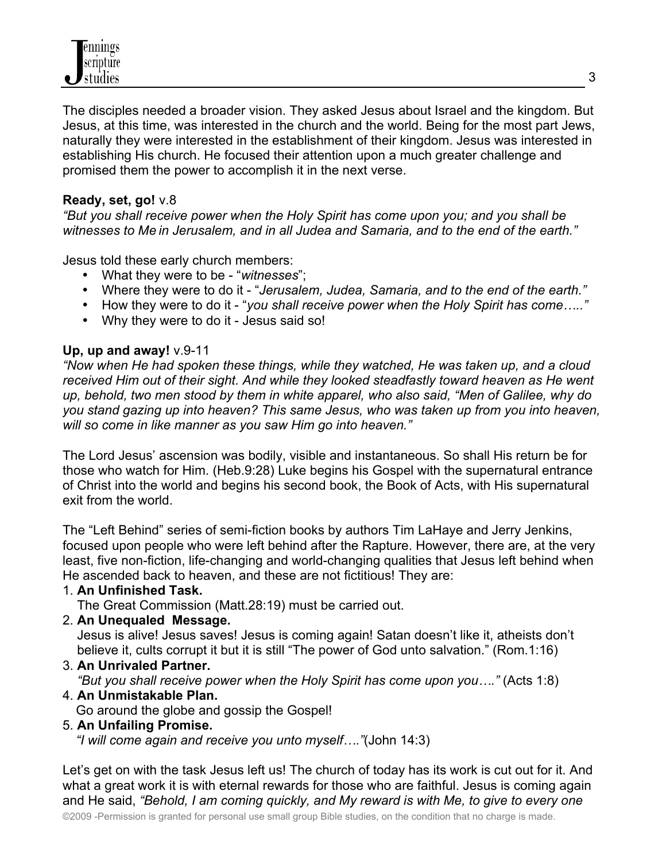The disciples needed a broader vision. They asked Jesus about Israel and the kingdom. But Jesus, at this time, was interested in the church and the world. Being for the most part Jews, naturally they were interested in the establishment of their kingdom. Jesus was interested in establishing His church. He focused their attention upon a much greater challenge and promised them the power to accomplish it in the next verse.

# **Ready, set, go!** v.8

*"But you shall receive power when the Holy Spirit has come upon you; and you shall be witnesses to Me in Jerusalem, and in all Judea and Samaria, and to the end of the earth."*

Jesus told these early church members:

- What they were to be "*witnesses*";
- Where they were to do it "*Jerusalem, Judea, Samaria, and to the end of the earth."*
- How they were to do it "*you shall receive power when the Holy Spirit has come….."*
- Why they were to do it Jesus said so!

# **Up, up and away!** v.9-11

*"Now when He had spoken these things, while they watched, He was taken up, and a cloud received Him out of their sight. And while they looked steadfastly toward heaven as He went up, behold, two men stood by them in white apparel, who also said, "Men of Galilee, why do you stand gazing up into heaven? This same Jesus, who was taken up from you into heaven, will so come in like manner as you saw Him go into heaven."*

The Lord Jesus' ascension was bodily, visible and instantaneous. So shall His return be for those who watch for Him. (Heb.9:28) Luke begins his Gospel with the supernatural entrance of Christ into the world and begins his second book, the Book of Acts, with His supernatural exit from the world.

The "Left Behind" series of semi-fiction books by authors Tim LaHaye and Jerry Jenkins, focused upon people who were left behind after the Rapture. However, there are, at the very least, five non-fiction, life-changing and world-changing qualities that Jesus left behind when He ascended back to heaven, and these are not fictitious! They are:

# 1. **An Unfinished Task.**

The Great Commission (Matt.28:19) must be carried out.

### 2. **An Unequaled Message.**

 Jesus is alive! Jesus saves! Jesus is coming again! Satan doesn't like it, atheists don't believe it, cults corrupt it but it is still "The power of God unto salvation." (Rom.1:16)

3. **An Unrivaled Partner.**

# *"But you shall receive power when the Holy Spirit has come upon you…."* (Acts 1:8)

# 4. **An Unmistakable Plan.**

Go around the globe and gossip the Gospel!

# 5. **An Unfailing Promise.**

*"I will come again and receive you unto myself…."*(John 14:3)

Let's get on with the task Jesus left us! The church of today has its work is cut out for it. And what a great work it is with eternal rewards for those who are faithful. Jesus is coming again and He said, *"Behold, I am coming quickly, and My reward is with Me, to give to every one*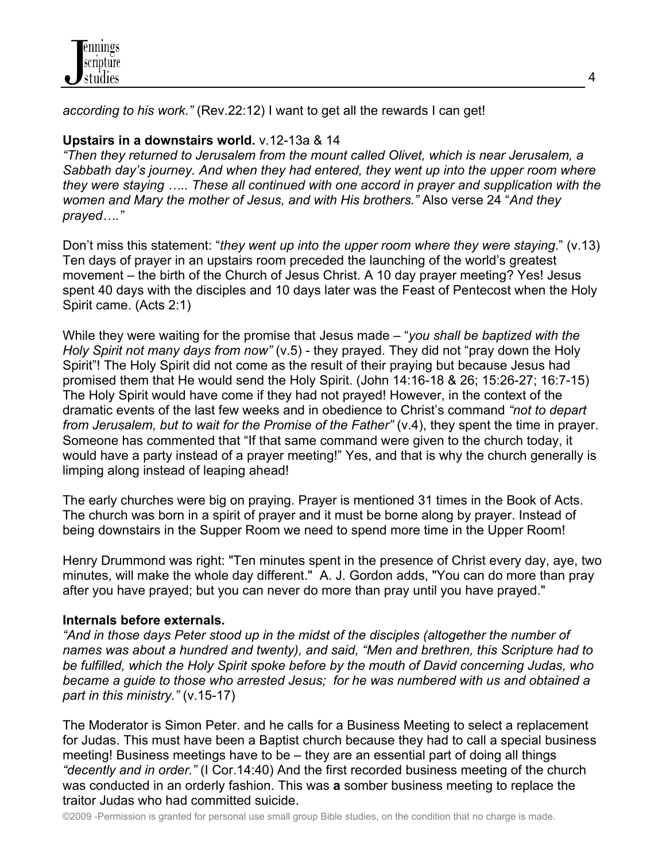

*according to his work."* (Rev.22:12) I want to get all the rewards I can get!

## **Upstairs in a downstairs world.** v.12-13a & 14

*"Then they returned to Jerusalem from the mount called Olivet, which is near Jerusalem, a Sabbath day's journey. And when they had entered, they went up into the upper room where they were staying ..... These all continued with one accord in prayer and supplication with the women and Mary the mother of Jesus, and with His brothers."* Also verse 24 "*And they prayed…."*

Don't miss this statement: "*they went up into the upper room where they were staying*." (v.13) Ten days of prayer in an upstairs room preceded the launching of the world's greatest movement – the birth of the Church of Jesus Christ. A 10 day prayer meeting? Yes! Jesus spent 40 days with the disciples and 10 days later was the Feast of Pentecost when the Holy Spirit came. (Acts 2:1)

While they were waiting for the promise that Jesus made – "*you shall be baptized with the Holy Spirit not many days from now"* (v.5) - they prayed. They did not "pray down the Holy Spirit"! The Holy Spirit did not come as the result of their praying but because Jesus had promised them that He would send the Holy Spirit. (John 14:16-18 & 26; 15:26-27; 16:7-15) The Holy Spirit would have come if they had not prayed! However, in the context of the dramatic events of the last few weeks and in obedience to Christ's command *"not to depart from Jerusalem, but to wait for the Promise of the Father"* (v.4), they spent the time in prayer. Someone has commented that "If that same command were given to the church today, it would have a party instead of a prayer meeting!" Yes, and that is why the church generally is limping along instead of leaping ahead!

The early churches were big on praying. Prayer is mentioned 31 times in the Book of Acts. The church was born in a spirit of prayer and it must be borne along by prayer. Instead of being downstairs in the Supper Room we need to spend more time in the Upper Room!

Henry Drummond was right: "Ten minutes spent in the presence of Christ every day, aye, two minutes, will make the whole day different." A. J. Gordon adds, "You can do more than pray after you have prayed; but you can never do more than pray until you have prayed."

### **Internals before externals.**

*"And in those days Peter stood up in the midst of the disciples (altogether the number of names was about a hundred and twenty), and said, "Men and brethren, this Scripture had to be fulfilled, which the Holy Spirit spoke before by the mouth of David concerning Judas, who became a guide to those who arrested Jesus; for he was numbered with us and obtained a part in this ministry."* (v.15-17)

The Moderator is Simon Peter. and he calls for a Business Meeting to select a replacement for Judas. This must have been a Baptist church because they had to call a special business meeting! Business meetings have to be – they are an essential part of doing all things *"decently and in order."* (I Cor.14:40) And the first recorded business meeting of the church was conducted in an orderly fashion. This was **a** somber business meeting to replace the traitor Judas who had committed suicide.